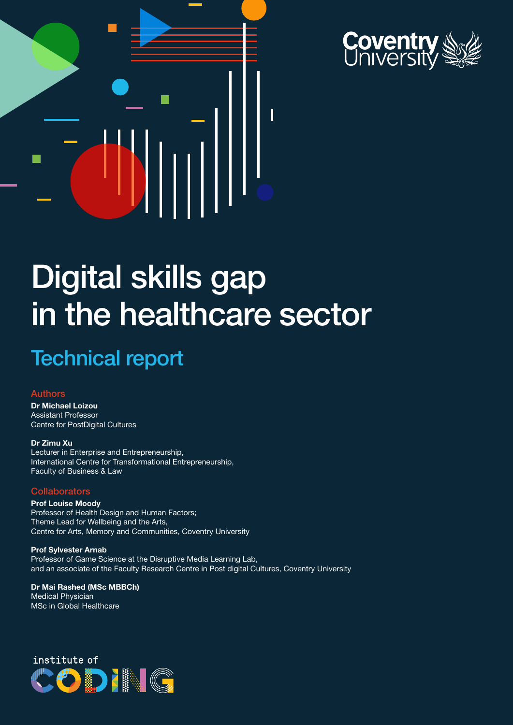



# Digital skills gap in the healthcare sector

### Technical report

### Authors

Dr Michael Loizou Assistant Professor Centre for PostDigital Cultures

Dr Zimu Xu Lecturer in Enterprise and Entrepreneurship, International Centre for Transformational Entrepreneurship, Faculty of Business & Law

#### **Collaborators**

**Prof Louise Moody** Professor of Health Design and Human Factors; Theme Lead for Wellbeing and the Arts, Centre for Arts, Memory and Communities, Coventry University

Prof Sylvester Arnab Professor of Game Science at the Disruptive Media Learning Lab, and an associate of the Faculty Research Centre in Post digital Cultures, Coventry University

Dr Mai Rashed (MSc MBBCh) Medical Physician MSc in Global Healthcare

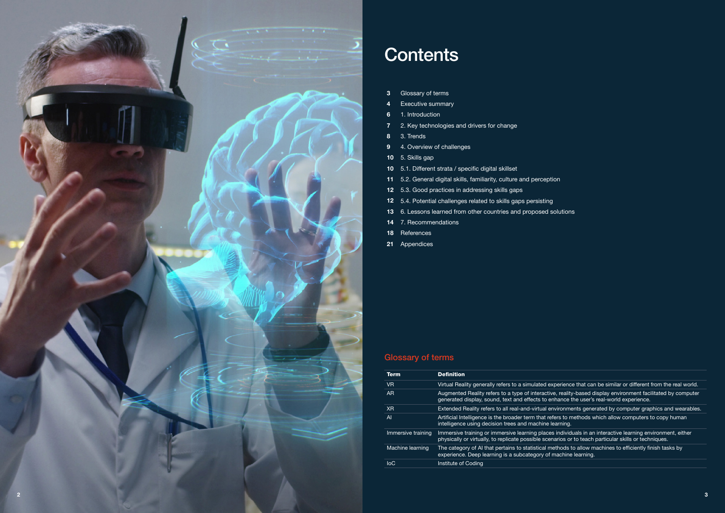- 3 Glossary of terms
- 4 Executive summary
- 6 1. Introduction
- 7 2. Key technologies and drivers for change
- 8 3. Trends
- 9 4. Overview of challenges
- 10 5. Skills gap
- 10 5.1. Different strata / specific digital skillset
- 11 5.2. General digital skills, familiarity, culture and perception
- 12 5.3. Good practices in addressing skills gaps
- 12 5.4. Potential challenges related to skills gaps persisting
- 13 6. Lessons learned from other countries and proposed solutions
- 14 7. Recommendations
- 18 References
- 21 Appendices

| <b>Term</b>        | <b>Definition</b>                                                                                   |
|--------------------|-----------------------------------------------------------------------------------------------------|
| V <sub>R</sub>     | Virtual Reality generally refers to a simulated                                                     |
| <b>AR</b>          | Augmented Reality refers to a type of interact<br>generated display, sound, text and effects to     |
| X <sub>R</sub>     | Extended Reality refers to all real-and-virtual                                                     |
| AI                 | Artificial Intelligence is the broader term that a<br>intelligence using decision trees and machine |
| Immersive training | Immersive training or immersive learning plac<br>physically or virtually, to replicate possible sco |
| Machine learning   | The category of AI that pertains to statistical<br>experience. Deep learning is a subcategory o     |
| <b>IoC</b>         | Institute of Coding                                                                                 |

experience that can be similar or different from the real world. tive, reality-based display environment facilitated by computer enhance the user's real-world experience.

environments generated by computer graphics and wearables. refers to methods which allow computers to copy human ilearning.

es individuals in an interactive learning environment, either enarios or to teach particular skills or techniques.

methods to allow machines to efficiently finish tasks by f machine learning.

### Glossary of terms



### **Contents**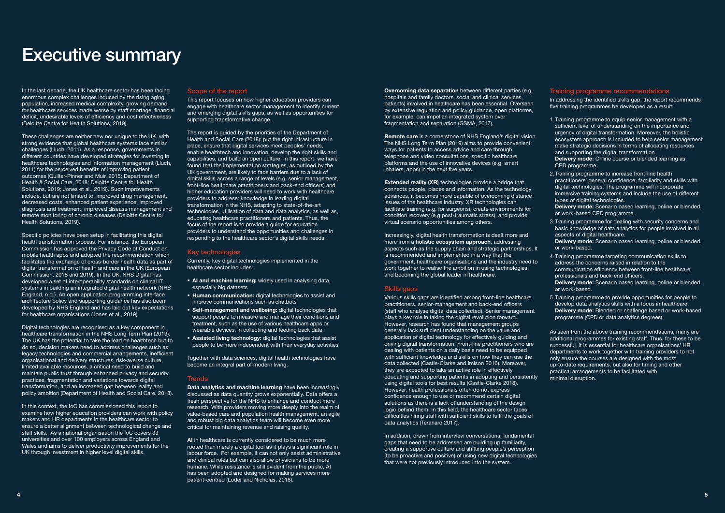In the last decade, the UK healthcare sector has been facing enormous complex challenges induced by the rising aging population, increased medical complexity, growing demand for healthcare services made worse by staff shortage, financial deficit, undesirable levels of efficiency and cost effectiveness (Deloitte Centre for Health Solutions, 2019).

These challenges are neither new nor unique to the UK, with strong evidence that global healthcare systems face similar challenges (Lluch, 2011). As a response, governments in different countries have developed strategies for investing in healthcare technologies and information management (Lluch, 2011) for the perceived benefits of improving patient outcomes (Quilter-Pinner and Muir, 2015; Department of Health & Social Care, 2018; Deloitte Centre for Health Solutions, 2019; Jones et al., 2019). Such improvements include, but are not limited to, improved drug management, decreased costs, enhanced patient experience, improved diagnosis and treatment, improved disease management and remote monitoring of chronic diseases (Deloitte Centre for Health Solutions, 2019).

In this context, the IoC has commissioned this report to examine how higher education providers can work with policy makers and HR departments in the healthcare sector to ensure a better alignment between technological change and staff skills. As a national organisation the IoC covers 33 universities and over 100 employers across England and Wales and aims to deliver productivity improvements for the UK through investment in higher level digital skills.

Specific policies have been setup in facilitating this digital health transformation process. For instance, the European Commission has approved the Privacy Code of Conduct on mobile health apps and adopted the recommendation which facilitates the exchange of cross-border health data as part of digital transformation of health and care in the UK (European Commission, 2018 and 2019). In the UK, NHS Digital has developed a set of interoperability standards on clinical IT systems in building an integrated digital health network (NHS England, n.d.). An open application programming interface architecture policy and supporting guidance has also been developed by NHS England and has laid out key expectations for healthcare organisations (Jones et al., 2019).

Digital technologies are recognised as a key component in healthcare transformation in the NHS Long Term Plan (2019). The UK has the potential to take the lead on healthtech but to do so, decision makers need to address challenges such as legacy technologies and commercial arrangements, inefficient organisational and delivery structures, risk-averse culture, limited available resources, a critical need to build and maintain public trust through enhanced privacy and security practices, fragmentation and variations towards digital transformation, and an increased gap between reality and policy ambition (Department of Health and Social Care, 2018).

- AI and machine learning: widely used in analysing data, especially big datasets
- **Human communication:** digital technologies to assist and improve communications such as chatbots
- **Self-management and wellbeing:** digital technologies that support people to measure and manage their conditions and treatment, such as the use of various healthcare apps or wearable devices, in collecting and feeding back data
- **Assisted living technology:** digital technologies that assist people to be more independent with their everyday activities

Together with data sciences, digital health technologies have become an integral part of modern living.

#### **Trends**

AI in healthcare is currently considered to be much more rooted than merely a digital tool as it plays a significant role in labour force. For example, it can not only assist administrative and clinical roles but can also allow physicians to be more humane. While resistance is still evident from the public, AI has been adopted and designed for making services more patient-centred (Loder and Nicholas, 2018).

#### Scope of the report

This report focuses on how higher education providers can engage with healthcare sector management to identify current and emerging digital skills gaps, as well as opportunities for supporting transformative change.

> **Extended reality (XR)** technologies provide a bridge that connects people, places and information. As the technology advances, it becomes more capable of overcoming distance issues of the healthcare industry. XR technologies can facilitate training (e.g. for surgeons), create environments for condition recovery (e.g post-traumatic stress), and provide virtual scenario opportunities among others.

The report is guided by the priorities of the Department of Health and Social Care (2018): put the right infrastructure in place, ensure that digital services meet peoples' needs, enable healthtech and innovation, develop the right skills and capabilities, and build an open culture. In this report, we have found that the implementation strategies, as outlined by the UK government, are likely to face barriers due to a lack of digital skills across a range of levels (e.g. senior management, front-line healthcare practitioners and back-end officers) and higher education providers will need to work with healthcare providers to address: knowledge in leading digital transformation in the NHS, adapting to state-of-the-art technologies, utilisation of data and data analytics, as well as, educating healthcare practitioners and patients. Thus, the focus of the report is to provide a guide for education providers to understand the opportunities and challenges in responding to the healthcare sector's digital skills needs.

### Key technologies

Currently, key digital technologies implemented in the healthcare sector includes:

In addressing the identified skills gap, the report recommends five training programmes be developed as a result:

Data analytics and machine learning have been increasingly discussed as data quantity grows exponentially. Data offers a fresh perspective for the NHS to enhance and conduct more research. With providers moving more deeply into the realm of value-based care and population health management, an agile and robust big data analytics team will become even more critical for maintaining revenue and raising quality.

### Executive summary

Overcoming data separation between different parties (e.g. hospitals and family doctors, social and clinical services, patients) involved in healthcare has been essential. Overseen by extensive regulation and policy guidance, open platforms, for example, can impel an integrated system over fragmentation and separation (GSMA, 2017).

Remote care is a cornerstone of NHS England's digital vision. The NHS Long Term Plan (2019) aims to provide convenient ways for patients to access advice and care through telephone and video consultations, specific healthcare platforms and the use of innovative devices (e.g. smart inhalers, apps) in the next five years.

Increasingly, digital health transformation is dealt more and more from a **holistic ecosystem approach**, addressing aspects such as the supply chain and strategic partnerships. It is recommended and implemented in a way that the government, healthcare organisations and the industry need to work together to realise the ambition in using technologies and becoming the global leader in healthcare.

#### Skills gaps

Various skills gaps are identified among front-line healthcare practitioners, senior-management and back-end officers (staff who analyse digital data collected). Senior management plays a key role in taking the digital revolution forward. However, research has found that management groups generally lack sufficient understanding on the value and application of digital technology for effectively guiding and driving digital transformation. Front-line practitioners who are dealing with patients on a daily basis need to be equipped with sufficient knowledge and skills on how they can use the data collected (Castle-Clarke and Imison 2016). Moreover, they are expected to take an active role in effectively educating and supporting patients in adopting and persistently using digital tools for best results (Castle-Clarke 2018). However, health professionals often do not express confidence enough to use or recommend certain digital solutions as there is a lack of understanding of the design logic behind them. In this field, the healthcare sector faces difficulties hiring staff with sufficient skills to fulfil the goals of data analytics (Terahard 2017).

In addition, drawn from interview conversations, fundamental gaps that need to be addressed are building up familiarity, creating a supportive culture and shifting people's perception (to be proactive and positive) of using new digital technologies that were not previously introduced into the system.

#### Training programme recommendations

- 1.Training programme to equip senior management with a sufficient level of understanding on the importance and urgency of digital transformation. Moreover, the holistic ecosystem approach is included to help senior management make strategic decisions in terms of allocating resources and supporting the digital transformation. Delivery mode: Online course or blended learning as CPD programme.
- 2.Training programme to increase front-line health practitioners' general confidence, familiarity and skills with digital technologies. The programme will incorporate immersive training systems and include the use of different types of digital technologies. Delivery mode: Scenario based learning, online or blended,
- or work-based CPD programme. 3.Training programme for dealing with security concerns and basic knowledge of data analytics for people involved in all aspects of digital healthcare.
- Delivery mode: Scenario based learning, online or blended, or work-based.
- 4.Training programme targeting communication skills to address the concerns raised in relation to the communication efficiency between front-line healthcare professionals and back-end officers. Delivery mode: Scenario based learning, online or blended, or work-based.
- 5.Training programme to provide opportunities for people to develop data analytics skills with a focus in healthcare. Delivery mode: Blended or challenge based or work-based programme (CPD or data analytics degrees).

As seen from the above training recommendations, many are additional programmes for existing staff. Thus, for these to be successful, it is essential for healthcare organisations' HR departments to work together with training providers to not only ensure the courses are designed with the most up-to-date requirements, but also for timing and other practical arrangements to be facilitated with minimal disruption.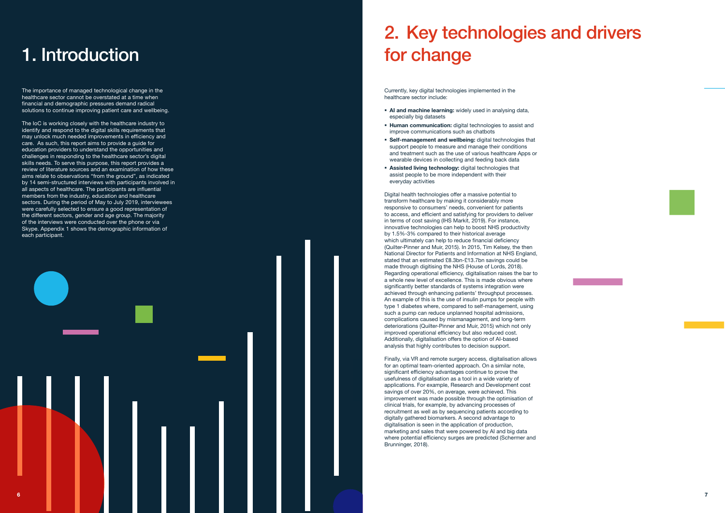The importance of managed technological change in the healthcare sector cannot be overstated at a time when financial and demographic pressures demand radical solutions to continue improving patient care and wellbeing.

The IoC is working closely with the healthcare industry to identify and respond to the digital skills requirements that may unlock much needed improvements in efficiency and care. As such, this report aims to provide a guide for education providers to understand the opportunities and challenges in responding to the healthcare sector's digital skills needs. To serve this purpose, this report provides a review of literature sources and an examination of how these aims relate to observations "from the ground", as indicated by 14 semi-structured interviews with participants involved in all aspects of healthcare. The participants are influential members from the industry, education and healthcare sectors. During the period of May to July 2019, interviewees were carefully selected to ensure a good representation of the different sectors, gender and age group. The majority of the interviews were conducted over the phone or via Skype. Appendix 1 shows the demographic information of each participant.

- AI and machine learning: widely used in analysing data, especially big datasets
- **Human communication:** digital technologies to assist and improve communications such as chatbots
- **Self-management and wellbeing:** digital technologies that support people to measure and manage their conditions and treatment such as the use of various healthcare Apps or wearable devices in collecting and feeding back data
- **Assisted living technology:** digital technologies that assist people to be more independent with their everyday activities

## 1. Introduction

Currently, key digital technologies implemented in the healthcare sector include:

Digital health technologies offer a massive potential to transform healthcare by making it considerably more responsive to consumers' needs, convenient for patients to access, and efficient and satisfying for providers to deliver in terms of cost saving (IHS Markit, 2019). For instance, innovative technologies can help to boost NHS productivity by 1.5%-3% compared to their historical average which ultimately can help to reduce financial deficiency (Quilter-Pinner and Muir, 2015). In 2015, Tim Kelsey, the then National Director for Patients and Information at NHS England, stated that an estimated £8.3bn-£13.7bn savings could be made through digitising the NHS (House of Lords, 2018). Regarding operational efficiency, digitalisation raises the bar to a whole new level of excellence. This is made obvious where significantly better standards of systems integration were achieved through enhancing patients' throughput processes. An example of this is the use of insulin pumps for people with type 1 diabetes where, compared to self-management, using such a pump can reduce unplanned hospital admissions, complications caused by mismanagement, and long-term deteriorations (Quilter-Pinner and Muir, 2015) which not only improved operational efficiency but also reduced cost. Additionally, digitalisation offers the option of AI-based analysis that highly contributes to decision support.

Finally, via VR and remote surgery access, digitalisation allows for an optimal team-oriented approach. On a similar note, significant efficiency advantages continue to prove the usefulness of digitalisation as a tool in a wide variety of applications. For example, Research and Development cost savings of over 20%, on average, were achieved. This improvement was made possible through the optimisation of clinical trials, for example, by advancing processes of recruitment as well as by sequencing patients according to digitally gathered biomarkers. A second advantage to digitalisation is seen in the application of production, marketing and sales that were powered by AI and big data where potential efficiency surges are predicted (Schermer and Brunninger, 2018).

# 2. Key technologies and drivers for change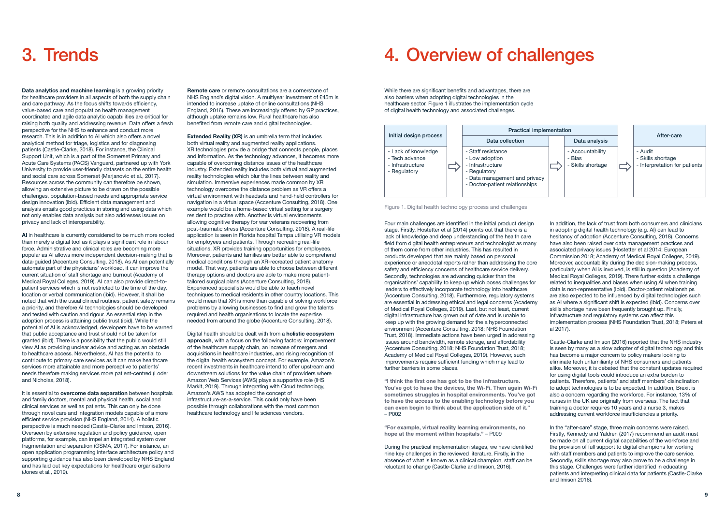

Figure 1. Digital health technology process and challenges

Data analytics and machine learning is a growing priority for healthcare providers in all aspects of both the supply chain and care pathway. As the focus shifts towards efficiency, value-based care and population health management coordinated and agile data analytic capabilities are critical for raising both quality and addressing revenue. Data offers a fresh perspective for the NHS to enhance and conduct more research. This is in addition to AI which also offers a novel analytical method for triage, logistics and for diagnosing patients (Castle-Clarke, 2018). For instance, the Clinical Support Unit, which is a part of the Somerset Primary and Acute Care Systems (PACS) Vanguard, partnered up with York University to provide user-friendly datasets on the entire health and social care across Somerset (Marjanovic et al., 2017). Resources across the community can therefore be shown, allowing an extensive picture to be drawn on the possible challenges, population-based needs and appropriate service design innovation (ibid). Efficient data management and analysis entails good practices in storing and using data which not only enables data analysis but also addresses issues on privacy and lack of interoperability.

AI in healthcare is currently considered to be much more rooted than merely a digital tool as it plays a significant role in labour force. Administrative and clinical roles are becoming more popular as AI allows more independent decision-making that is data-guided (Accenture Consulting, 2018). As AI can potentially automate part of the physicians' workload, it can improve the current situation of staff shortage and burnout (Academy of Medical Royal Colleges, 2019). AI can also provide direct-topatient services which is not restricted to the time of the day, location or verbal communication (ibid). However, it shall be noted that with the usual clinical routines, patient safety remains a priority, and therefore AI technologies should be developed and tested with caution and rigour. An essential step in the adoption process is attaining public trust (ibid). While the potential of AI is acknowledged, developers have to be warned that public acceptance and trust should not be taken for granted (ibid). There is a possibility that the public would still view AI as providing unclear advice and acting as an obstacle to healthcare access. Nevertheless, AI has the potential to contribute to primary care services as it can make healthcare services more attainable and more perceptive to patients' needs therefore making services more patient-centred (Loder and Nicholas, 2018).

It is essential to overcome data separation between hospitals and family doctors, mental and physical health, social and clinical services as well as patients. This can only be done through novel care and integration models capable of a more efficient service provision (NHS England, 2014). A holistic perspective is much needed (Castle-Clarke and Imison, 2016). Overseen by extensive regulation and policy guidance, open platforms, for example, can impel an integrated system over fragmentation and separation (GSMA, 2017). For instance, an open application programming interface architecture policy and supporting guidance has also been developed by NHS England and has laid out key expectations for healthcare organisations (Jones et al., 2019).

Remote care or remote consultations are a cornerstone of NHS England's digital vision. A multiyear investment of £45m is intended to increase uptake of online consultations (NHS England, 2016). These are increasingly offered by GP practices, although uptake remains low. Rural healthcare has also benefited from remote care and digital technologies.

Extended Reality (XR) is an umbrella term that includes both virtual reality and augmented reality applications. XR technologies provide a bridge that connects people, places and information. As the technology advances, it becomes more capable of overcoming distance issues of the healthcare industry. Extended reality includes both virtual and augmented reality technologies which blur the lines between reality and simulation. Immersive experiences made common by XR technology overcome the distance problem as VR offers a virtual environment with headsets and hand-held controllers for navigation in a virtual space (Accenture Consulting, 2018). One example would be a home-based virtual setting for a surgery resident to practise with. Another is virtual environments allowing cognitive therapy for war veterans recovering from post-traumatic stress (Accenture Consulting, 2018). A real-life application is seen in Florida hospital Tampa utilising VR models for employees and patients. Through recreating real-life situations, XR provides training opportunities for employees. Moreover, patients and families are better able to comprehend medical conditions through an XR-recreated patient anatomy model. That way, patients are able to choose between different therapy options and doctors are able to make more patienttailored surgical plans (Accenture Consulting, 2018). Experienced specialists would be able to teach novel techniques to medical residents in other country locations. This would mean that XR is more than capable of solving workforce problems by allowing businesses to find and grow the talents required and health organisations to locate the expertise needed from around the globe (Accenture Consulting, 2018).

Digital health should be dealt with from a holistic ecosystem approach, with a focus on the following factors: improvement of the healthcare supply chain, an increase of mergers and acquisitions in healthcare industries, and rising recognition of the digital health ecosystem concept. For example, Amazon's recent investments in healthcare intend to offer upstream and downstream solutions for the value chain of providers where Amazon Web Services (AWS) plays a supportive role (IHS Markit, 2019). Through integrating with Cloud technology, Amazon's AWS has adopted the concept of infrastructure-as-a-service. This could only have been possible through collaborations with the most common healthcare technology and life sciences vendors.

## 3. Trends 3. Trends 2. Trends 2. Trends 2. Trends 2. Trends 2. Trends 2. Trends 2. Trends 2. Trends 2. Trends 2. Trends 2. Trends 2. Trends 2. Trends 2. Trends 2. Trends 2. Trends 2. Trends 2. Trends 2. Trends 2. Trends 2.

While there are significant benefits and advantages, there are also barriers when adopting digital technologies in the healthcare sector. Figure 1 illustrates the implementation cycle of digital health technology and associated challenges.

Four main challenges are identified in the initial product design stage. Firstly, Hostetter et al (2014) points out that there is a lack of knowledge and deep understanding of the health care field from digital health entrepreneurs and technologist as many of them come from other industries. This has resulted in products developed that are mainly based on personal experience or anecdotal reports rather than addressing the core safety and efficiency concerns of healthcare service delivery. Secondly, technologies are advancing quicker than the organisations' capability to keep up which poses challenges for leaders to effectively incorporate technology into healthcare (Accenture Consulting, 2018). Furthermore, regulatory systems are essential in addressing ethical and legal concerns (Academy of Medical Royal Colleges, 2019). Last, but not least, current digital infrastructure has grown out of date and is unable to keep up with the growing demand for the a hyperconnected environment (Accenture Consulting, 2018; NHS Foundation Trust, 2018). Immediate actions have been urged in addressing issues around bandwidth, remote storage, and affordability (Accenture Consulting, 2018; NHS Foundation Trust, 2018; Academy of Medical Royal Colleges, 2019). However, such improvements require sufficient funding which may lead to further barriers in some places.

"I think the first one has got to be the infrastructure. You've got to have the devices, the Wi-Fi. Then again Wi-Fi sometimes struggles in hospital environments. You've got to have the access to the enabling technology before you can even begin to think about the application side of it." – P002

"For example, virtual reality learning environments, no hope at the moment within hospitals." – P009

During the practical implementation stages, we have identified nine key challenges in the reviewed literature. Firstly, in the absence of what is known as a clinical champion, staff can be reluctant to change (Castle-Clarke and Imison, 2016).

In addition, the lack of trust from both consumers and clinicians in adopting digital health technology (e.g. AI) can lead to hesitancy of adoption (Accenture Consulting, 2018). Concerns have also been raised over data management practices and associated privacy issues (Hostetter et al 2014; European Commission 2018; Academy of Medical Royal Colleges, 2019). Moreover, accountability during the decision-making process, particularly when AI is involved, is still in question (Academy of Medical Royal Colleges, 2019). There further exists a challenge related to inequalities and biases when using AI when training data is non-representative (Ibid). Doctor-patient relationships are also expected to be influenced by digital technologies such as AI where a significant shift is expected (Ibid). Concerns over skills shortage have been frequently brought up. Finally, infrastructure and regulatory systems can affect this implementation process (NHS Foundation Trust, 2018; Peters et al 2017).

Castle-Clarke and Imison (2016) reported that the NHS industry is seen by many as a slow adopter of digital technology and this has become a major concern to policy makers looking to eliminate tech unfamiliarity of NHS consumers and patients alike. Moreover, it is debated that the constant updates required for using digital tools could introduce an extra burden to patients. Therefore, patients' and staff members' disinclination to adopt technologies is to be expected. In addition, Brexit is also a concern regarding the workforce. For instance, 13% of nurses in the UK are originally from overseas. The fact that training a doctor requires 10 years and a nurse 3, makes addressing current workforce insufficiencies a priority.

In the "after-care" stage, three main concerns were raised. Firstly, Kennedy and Yaldren (2017) recommend an audit must be made on all current digital capabilities of the workforce and the provision of full support to digital champions for working with staff members and patients to improve the care service. Secondly, skills shortage may also prove to be a challenge in this stage. Challenges were further identified in educating patients and interpreting clinical data for patients (Castle-Clarke and Imison 2016).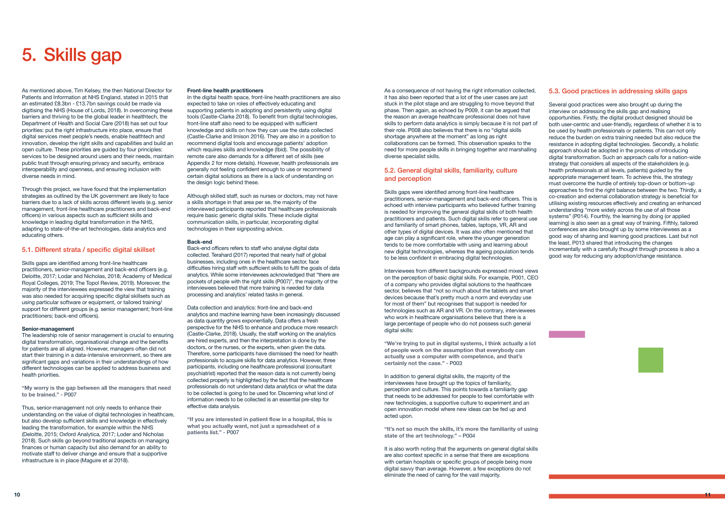As mentioned above, Tim Kelsey, the then National Director for Patients and Information at NHS England, stated in 2015 that an estimated £8.3bn - £13.7bn savings could be made via digitising the NHS (House of Lords, 2018). In overcoming these barriers and thriving to be the global leader in healthtech, the Department of Health and Social Care (2018) has set out four priorities: put the right infrastructure into place, ensure that digital services meet people's needs, enable healthtech and innovation, develop the right skills and capabilities and build an open culture. These priorities are guided by four principles: services to be designed around users and their needs, maintain public trust through ensuring privacy and security, embrace interoperability and openness, and ensuring inclusion with diverse needs in mind.

Through this project, we have found that the implementation strategies as outlined by the UK government are likely to face barriers due to a lack of skills across different levels (e.g. senior management, front-line healthcare practitioners and back-end officers) in various aspects such as sufficient skills and knowledge in leading digital transformation in the NHS, adapting to state-of-the-art technologies, data analytics and educating others.

#### 5.1. Different strata / specific digital skillset

In the digital health space, front-line health practitioners are also expected to take on roles of effectively educating and supporting patients in adopting and persistently using digital tools (Castle-Clarke 2018). To benefit from digital technologies, front-line staff also need to be equipped with sufficient knowledge and skills on how they can use the data collected (Castle-Clarke and Imison 2016). They are also in a position to recommend digital tools and encourage patients' adoption which requires skills and knowledge (Ibid). The possibility of remote care also demands for a different set of skills (see Appendix 2 for more details). However, health professionals are generally not feeling confident enough to use or recommend certain digital solutions as there is a lack of understanding on the design logic behind these.

Skills gaps are identified among front-line healthcare practitioners, senior-management and back-end officers (e.g. Deloitte, 2017; Lodar and Nicholas, 2018; Academy of Medical Royal Colleges, 2019; The Topol Review, 2019). Moreover, the majority of the interviewees expressed the view that training was also needed for acquiring specific digital skillsets such as using particular software or equipment, or tailored training/ support for different groups (e.g. senior management; front-line practitioners; back-end officers).

#### Senior-management

The leadership role of senior management is crucial to ensuring digital transformation, organisational change and the benefits for patients are all aligned. However, managers often did not start their training in a data-intensive environment, so there are significant gaps and variations in their understandings of how different technologies can be applied to address business and health priorities.

"My worry is the gap between all the managers that need to be trained." - P007

Thus, senior-management not only needs to enhance their understanding on the value of digital technologies in healthcare, but also develop sufficient skills and knowledge in effectively leading the transformation, for example within the NHS (Deloitte, 2015; Oxford Analytica, 2017; Loder and Nicholas 2018). Such skills go beyond traditional aspects on managing finances or human capacity but also demand for an ability to motivate staff to deliver change and ensure that a supportive infrastructure is in place (Maguire et al 2018).

#### Front-line health practitioners

Although skilled staff, such as nurses or doctors, may not have a skills shortage in that area per se, the majority of the interviewed participants reported that healthcare professionals require basic generic digital skills. These include digital communication skills, in particular, incorporating digital technologies in their signposting advice.

#### Back-end

Back-end officers refers to staff who analyse digital data collected. Terahard (2017) reported that nearly half of global businesses, including ones in the healthcare sector, face difficulties hiring staff with sufficient skills to fulfil the goals of data analytics. While some interviewees acknowledged that "there are pockets of people with the right skills (P007)", the majority of the interviewees believed that more training is needed for data processing and analytics' related tasks in general.

Data collection and analytics: front-line and back-end analytics and machine learning have been increasingly discussed as data quantity grows exponentially. Data offers a fresh perspective for the NHS to enhance and produce more research (Castle-Clarke, 2018). Usually, the staff working on the analytics are hired experts, and then the interpretation is done by the doctors, or the nurses, or the experts, when given the data. Therefore, some participants have dismissed the need for health professionals to acquire skills for data analytics. However, three participants, including one healthcare professional (consultant psychiatrist) reported that the reason data is not currently being collected properly is highlighted by the fact that the healthcare professionals do not understand data analytics or what the data to be collected is going to be used for. Discerning what kind of information needs to be collected is an essential pre-step for effective data analysis.

"If you are interested in patient flow in a hospital, this is what you actually want, not just a spreadsheet of a patients list." - P007

## 5. Skills gap

As a consequence of not having the right information collected, it has also been reported that a lot of the user cases are just stuck in the pilot stage and are struggling to move beyond that phase. Then again, as echoed by P009, it can be argued that the reason an average healthcare professional does not have skills to perform data analytics is simply because it is not part of their role. P008 also believes that there is no "digital skills shortage anywhere at the moment" as long as right collaborations can be formed. This observation speaks to the need for more people skills in bringing together and marshalling diverse specialist skills.

#### 5.2. General digital skills, familiarity, culture and perception

Skills gaps were identified among front-line healthcare practitioners, senior-management and back-end officers. This is echoed with interview participants who believed further training is needed for improving the general digital skills of both health practitioners and patients. Such digital skills refer to general use and familiarity of smart phones, tables, laptops, VR, AR and other types of digital devices. It was also often mentioned that age can play a significant role, where the younger generation tends to be more comfortable with using and learning about new digital technologies, whereas the ageing population tends to be less confident in embracing digital technologies.

Interviewees from different backgrounds expressed mixed views on the perception of basic digital skills. For example, P001, CEO of a company who provides digital solutions to the healthcare sector, believes that "not so much about the tablets and smart devices because that's pretty much a norm and everyday use for most of them" but recognises that support is needed for technologies such as AR and VR. On the contrary, interviewees who work in healthcare organisations believe that there is a large percentage of people who do not possess such general digital skills:

"We're trying to put in digital systems, I think actually a lot of people work on the assumption that everybody can actually use a computer with competence, and that's certainly not the case." - P003

In addition to general digital skills, the majority of the interviewees have brought up the topics of familiarity, perception and culture. This points towards a familiarity gap that needs to be addressed for people to feel comfortable with new technologies, a supportive culture to experiment and an open innovation model where new ideas can be fed up and acted upon.

"It's not so much the skills, it's more the familiarity of using state of the art technology." – P004

It is also worth noting that the arguments on general digital skills are also context specific in a sense that there are exceptions with certain hospitals or specific groups of people being more digital savvy than average. However, a few exceptions do not eliminate the need of caring for the vast majority.

#### 5.3. Good practices in addressing skills gaps

Several good practices were also brought up during the interview on addressing the skills gap and realising opportunities. Firstly, the digital product designed should be both user-centric and user-friendly, regardless of whether it is to be used by health professionals or patients. This can not only reduce the burden on extra training needed but also reduce the resistance in adopting digital technologies. Secondly, a holistic approach should be adopted in the process of introducing digital transformation. Such an approach calls for a nation-wide strategy that considers all aspects of the stakeholders (e.g. health professionals at all levels, patients) guided by the appropriate management team. To achieve this, the strategy must overcome the hurdle of entirely top-down or bottom-up approaches to find the right balance between the two. Thirdly, a co-creation and external collaboration strategy is beneficial for utilising existing resources effectively and creating an enhanced understanding "more widely across the use of all those systems" (P014). Fourthly, the learning by doing (or applied learning) is also seen as a great way of training. Fifthly, tailored conferences are also brought up by some interviewees as a good way of sharing and learning good practices. Last but not the least, P013 shared that introducing the changes incrementally with a carefully thought through process is also a good way for reducing any adoption/change resistance.

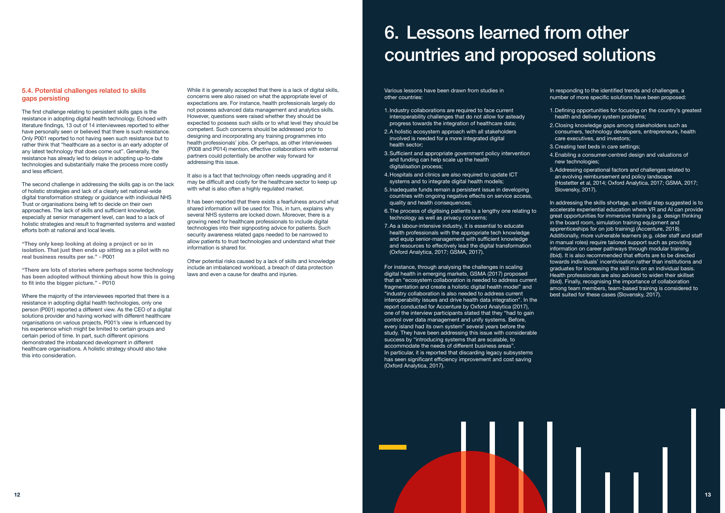#### 5.4. Potential challenges related to skills gaps persisting

The first challenge relating to persistent skills gaps is the resistance in adopting digital health technology. Echoed with literature findings, 13 out of 14 interviewees reported to either have personally seen or believed that there is such resistance. Only P001 reported to not having seen such resistance but to rather think that "healthcare as a sector is an early adopter of any latest technology that does come out". Generally, the resistance has already led to delays in adopting up-to-date technologies and substantially make the process more costly and less efficient.

The second challenge in addressing the skills gap is on the lack of holistic strategies and lack of a clearly set national-wide digital transformation strategy or guidance with individual NHS Trust or organisations being left to decide on their own approaches. The lack of skills and sufficient knowledge, especially at senior management level, can lead to a lack of holistic strategies and result to fragmented systems and wasted efforts both at national and local levels.

"They only keep looking at doing a project or so in isolation. That just then ends up sitting as a pilot with no real business results per se." - P001

"There are lots of stories where perhaps some technology has been adopted without thinking about how this is going to fit into the bigger picture." - P010

It also is a fact that technology often needs upgrading and it may be difficult and costly for the healthcare sector to keep up with what is also often a highly regulated market.

Where the majority of the interviewees reported that there is a resistance in adopting digital health technologies, only one person (P001) reported a different view. As the CEO of a digital solutions provider and having worked with different healthcare organisations on various projects, P001's view is influenced by his experience which might be limited to certain groups and certain period of time. In part, such different opinions demonstrated the imbalanced development in different healthcare organisations. A holistic strategy should also take this into consideration.

While it is generally accepted that there is a lack of digital skills, concerns were also raised on what the appropriate level of expectations are. For instance, health professionals largely do not possess advanced data management and analytics skills. However, questions were raised whether they should be expected to possess such skills or to what level they should be competent. Such concerns should be addressed prior to designing and incorporating any training programmes into health professionals' jobs. Or perhaps, as other interviewees (P008 and P014) mention, effective collaborations with external partners could potentially be another way forward for addressing this issue.

> For instance, through analysing the challenges in scaling digital health in emerging markets, GSMA (2017) proposed that an "ecosystem collaboration is needed to address current fragmentation and create a holistic digital health model" and "industry collaboration is also needed to address current interoperability issues and drive health data integration". In the report conducted for Accenture by Oxford Analytica (2017), one of the interview participants stated that they "had to gain control over data management and unify systems. Before, every island had its own system" several years before the study. They have been addressing this issue with considerable success by "introducing systems that are scalable, to accommodate the needs of different business areas". In particular, it is reported that discarding legacy subsystems has seen significant efficiency improvement and cost saving (Oxford Analytica, 2017).

In responding to the identified trends and challenges, a number of more specific solutions have been proposed:

It has been reported that there exists a fearfulness around what shared information will be used for. This, in turn, explains why several NHS systems are locked down. Moreover, there is a growing need for healthcare professionals to include digital technologies into their signposting advice for patients. Such security awareness related gaps needed to be narrowed to allow patients to trust technologies and understand what their information is shared for.

Other potential risks caused by a lack of skills and knowledge include an imbalanced workload, a breach of data protection laws and even a cause for deaths and injuries.

Various lessons have been drawn from studies in other countries:

- 1.Industry collaborations are required to face current interoperability challenges that do not allow for asteady progress towards the integration of healthcare data;
- 2.A holistic ecosystem approach with all stakeholders involved is needed for a more integrated digital health sector;
- 3.Sufficient and appropriate government policy intervention and funding can help scale up the health digitalisation process;
- 4.Hospitals and clinics are also required to update ICT systems and to integrate digital health models;
- 5.Inadequate funds remain a persistent issue in developing countries with ongoing negative effects on service access, quality and health consequences;
- 6.The process of digitising patients is a lengthy one relating to technology as well as privacy concerns;
- 7.As a labour-intensive industry, it is essential to educate health professionals with the appropriate tech knowledge and equip senior-management with sufficient knowledge and resources to effectively lead the digital transformation (Oxford Analytica, 2017; GSMA, 2017).
- 1.Defining opportunities for focusing on the country's greatest health and delivery system problems;
- 2.Closing knowledge gaps among stakeholders such as consumers, technology developers, entrepreneurs, health care executives, and investors;
- 3.Creating test beds in care settings;
- 4.Enabling a consumer-centred design and valuations of new technologies;
- 5.Addressing operational factors and challenges related to an evolving reimbursement and policy landscape (Hostetter et al, 2014; Oxford Analytica, 2017; GSMA, 2017; Slovensky, 2017).

In addressing the skills shortage, an initial step suggested is to accelerate experiential education where VR and AI can provide great opportunities for immersive training (e.g. design thinking in the board room, simulation training equipment and apprenticeships for on job training) (Accenture, 2018). Additionally, more vulnerable learners (e.g. older staff and staff in manual roles) require tailored support such as providing information on career pathways through modular training (Ibid). It is also recommended that efforts are to be directed towards individuals' incentivisation rather than institutions and graduates for increasing the skill mix on an individual basis. Health professionals are also advised to widen their skillset (Ibid). Finally, recognising the importance of collaboration among team members, team-based training is considered to best suited for these cases (Slovensky, 2017).

# 6. Lessons learned from other countries and proposed solutions

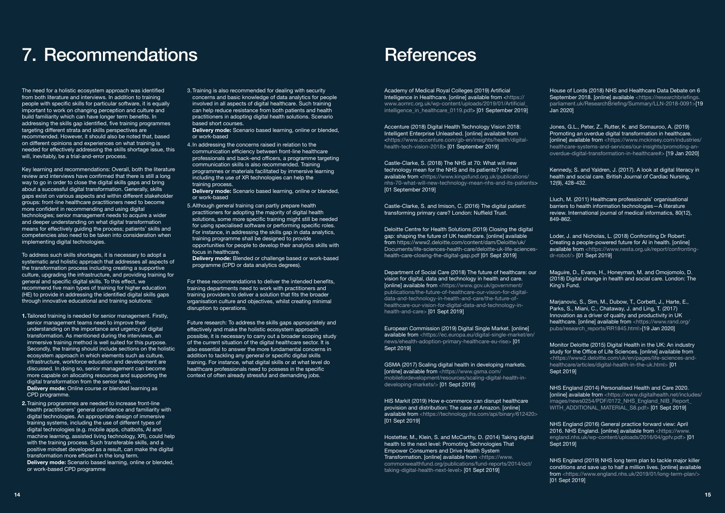## 7. Recommendations

The need for a holistic ecosystem approach was identified from both literature and interviews. In addition to training people with specific skills for particular software, it is equally important to work on changing perception and culture and build familiarity which can have longer term benefits. In addressing the skills gap identified, five training programmes targeting different strata and skills perspectives are recommended. However, it should also be noted that, based on different opinions and experiences on what training is needed for effectively addressing the skills shortage issue, this will, inevitably, be a trial-and-error process.

Key learning and recommendations: Overall, both the literature review and interviews have confirmed that there is still a long way to go in order to close the digital skills gaps and bring about a successful digital transformation. Generally, skills gaps exist on various aspects and within different stakeholder groups: front-line healthcare practitioners need to become more confident in recommending and using digital technologies; senior management needs to acquire a wider and deeper understanding on what digital transformation means for effectively guiding the process; patients' skills and competencies also need to be taken into consideration when implementing digital technologies.

To address such skills shortages, it is necessary to adopt a systematic and holistic approach that addresses all aspects of the transformation process including creating a supportive culture, upgrading the infrastructure, and providing training for general and specific digital skills. To this effect, we recommend five main types of training for higher education (HE) to provide in addressing the identified digital skills gaps through innovative educational and training solutions:

Delivery mode: Scenario based learning, online or blended, or work-based

- 1.Tailored training is needed for senior management. Firstly, senior management teams need to improve their understanding on the importance and urgency of digital transformation. As mentioned during the interviews, an immersive training method is well suited for this purpose. Secondly, the training should include sections on the holistic ecosystem approach in which elements such as culture, infrastructure, workforce education and development are discussed. In doing so, senior management can become more capable on allocating resources and supporting the digital transformation from the senior level. Delivery mode: Online course or blended learning as CPD programme.
- 2.Training programmes are needed to increase front-line health practitioners' general confidence and familiarity with digital technologies. An appropriate design of immersive training systems, including the use of different types of digital technologies (e.g. mobile apps, chatbots, AI and machine learning, assisted living technology, XR), could help with the training process. Such transferable skills, and a positive mindset developed as a result, can make the digital transformation more efficient in the long term. Delivery mode: Scenario based learning, online or blended, or work-based CPD programme

Accenture (2018) Digital Health Technology Vision 2018: Intelligent Enterprise Unleashed. [online] available from <https://www.accenture.com/gb-en/insights/health/digitalhealth-tech-vision-2018> [01 September 2019]

3.Training is also recommended for dealing with security concerns and basic knowledge of data analytics for people involved in all aspects of digital healthcare. Such training can help reduce resistance from both patients and health practitioners in adopting digital health solutions. Scenario based short courses.

Delivery mode: Scenario based learning, online or blended, or work-based

4.In addressing the concerns raised in relation to the communication efficiency between front-line healthcare professionals and back-end officers, a programme targeting communication skills is also recommended. Training programmes or materials facilitated by immersive learning including the use of XR technologies can help the training process.

5.Although general training can partly prepare health practitioners for adopting the majority of digital health solutions, some more specific training might still be needed for using specialised software or performing specific roles. For instance, in addressing the skills gap in data analytics, training programme shall be designed to provide opportunities for people to develop their analytics skills with focus in healthcare.

> Marjanovic, S., Sim, M., Dubow, T., Corbett, J., Harte, E., Parks, S., Miani, C., Chataway, J. and Ling, T. (2017) Innovation as a driver of quality and productivity in UK healthcare. [online] available from <https://www.rand.org/ pubs/research\_reports/RR1845.html>[19 Jan 2020]

Delivery mode: Blended or challenge based or work-based programme (CPD or data analytics degrees).

For these recommendations to deliver the intended benefits, training departments need to work with practitioners and training providers to deliver a solution that fits the broader organisation culture and objectives, whilst creating minimal disruption to operations.

> NHS England (2014) Personalised Health and Care 2020. [online] available from <https://www.digitalhealth.net/includes/ images/news0254/PDF/0172\_NHS\_England\_NIB\_Report\_ WITH\_ADDITIONAL\_MATERIAL\_S8.pdf> [01 Sept 2019]

Future research: To address the skills gaps appropriately and effectively and make the holistic ecosystem approach possible, it is necessary to carry out a broader scoping study of the current situation of the digital healthcare sector. It is also essential to answer the more fundamental concerns in addition to tackling any general or specific digital skills training. For instance, what digital skills or at what level do healthcare professionals need to possess in the specific context of often already stressful and demanding jobs.

### **References**

Academy of Medical Royal Colleges (2019) Artificial Intelligence in Healthcare. [online] available from <https:// www.aomrc.org.uk/wp-content/uploads/2019/01/Artificial\_ intelligence\_in\_healthcare\_0119.pdf> [01 September 2019]

Castle-Clarke, S. (2018) The NHS at 70: What will new technology mean for the NHS and its patients? [online] available from <https://www.kingsfund.org.uk/publications/ nhs-70-what-will-new-technology-mean-nhs-and-its-patients> [01 September 2019]

Castle-Clarke, S. and Imison, C. (2016) The digital patient: transforming primary care? London: Nuffield Trust.

Deloitte Centre for Health Solutions (2019) Closing the digital gap: shaping the future of UK healthcare. [online] available from https://www2.deloitte.com/content/dam/Deloitte/uk/ Documents/life-sciences-health-care/deloitte-uk-life-scienceshealth-care-closing-the-digital-gap.pdf [01 Sept 2019]

Department of Social Care (2018) The future of healthcare: our vision for digital, data and technology in health and care. [online] available from <https://www.gov.uk/government/ publications/the-future-of-healthcare-our-vision-for-digitaldata-and-technology-in-health-and-care/the-future-ofhealthcare-our-vision-for-digital-data-and-technology-inhealth-and-care> [01 Sept 2019]

European Commission (2019) Digital Single Market. [online] available from <https://ec.europa.eu/digital-single-market/en/ news/ehealth-adoption-primary-healthcare-eu-rise> [01 Sept 2019]

GSMA (2017) Scaling digital health in developing markets. [online] available from <https://www.gsma.com/ mobilefordevelopment/resources/scaling-digital-health-indeveloping-markets/> [01 Sept 2019]

HIS Markit (2019) How e-commerce can disrupt healthcare provision and distribution: The case of Amazon. [online] available from <https://technology.ihs.com/api/binary/612420> [01 Sept 2019]

Hostetter, M., Klein, S. and McCarthy, D. (2014) Taking digital health to the next level: Promoting Technologies That Empower Consumers and Drive Health System Transformation. [online] available from <https://www. commonwealthfund.org/publications/fund-reports/2014/oct/ taking-digital-health-next-level> [01 Sept 2019]

House of Lords (2018) NHS and Healthcare Data Debate on 6 September 2018. [online] available <https://researchbriefings. parliament.uk/ResearchBriefing/Summary/LLN-2018-0091>[19 Jan 2020]

Jones, G.L., Peter, Z., Rutter, K. and Somauroo, A. (2019) Promoting an overdue digital transformation in healthcare. [online] available from <https://www.mckinsey.com/industries/ healthcare-systems-and-services/our-insights/promoting-anoverdue-digital-transformation-in-healthcare#> [19 Jan 2020]

Kennedy, S. and Yaldren, J. (2017). A look at digital literacy in health and social care. British Journal of Cardiac Nursing, 12(9), 428-432.

Lluch, M. (2011) Healthcare professionals' organisational barriers to health information technologies—A literature review. International journal of medical informatics, 80(12), 849-862.

Loder, J. and Nicholas, L. (2018) Confronting Dr Robert: Creating a people-powered future for AI in health. [online] available from <https://www.nesta.org.uk/report/confrontingdr-robot/> [01 Sept 2019]

Maguire, D., Evans, H., Honeyman, M. and Omojomolo, D. (2018) Digital change in health and social care. London: The King's Fund.

Monitor Deloitte (2015) Digital Health in the UK: An industry study for the Office of Life Sciences. [online] available from <https://www2.deloitte.com/uk/en/pages/life-sciences-andhealthcare/articles/digital-health-in-the-uk.html> [01 Sept 2019]

NHS England (2016) General practice forward view: April 2016. NHS England. [online] available from <https://www. england.nhs.uk/wp-content/uploads/2016/04/gpfv.pdf> [01 Sept 2019]

NHS England (2019) NHS long term plan to tackle major killer conditions and save up to half a million lives. [online] available from <https://www.england.nhs.uk/2019/01/long-term-plan/> [01 Sept 2019]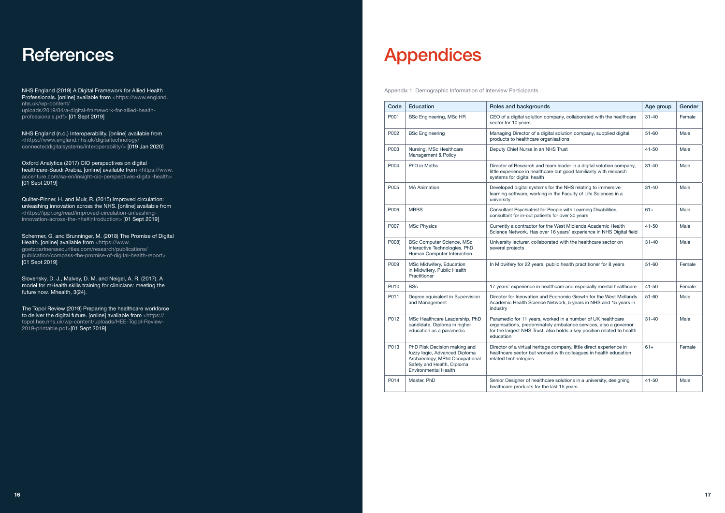NHS England (2019) A Digital Framework for Allied Health Professionals. [online] available from <https://www.england. nhs.uk/wp-content/ uploads/2019/04/a-digital-framework-for-allied-healthprofessionals.pdf> [01 Sept 2019]

NHS England (n.d.) Interoperability. [online] available from <https://www.england.nhs.uk/digitaltechnology/ connecteddigitalsystems/interoperability/> [019 Jan 2020]

Oxford Analytica (2017) CIO perspectives on digital healthcare-Saudi Arabia. [online] available from <https://www. accenture.com/sa-en/insight-cio-perspectives-digital-health> [01 Sept 2019]

Quilter-Pinner, H. and Muir, R. (2015) Improved circulation: unleashing innovation across the NHS. [online] available from <https://ippr.org/read/improved-circulation-unleashinginnovation-across-the-nhs#introduction> [01 Sept 2019]

Schermer, G. and Brunninger, M. (2018) The Promise of Digital Health. [online] available from <https://www. goetzpartnerssecurities.com/research/publications/ publication/compass-the-promise-of-digital-health-report> [01 Sept 2019]

Slovensky, D. J., Malvey, D. M. and Neigel, A. R. (2017). A model for mHealth skills training for clinicians: meeting the future now. Mhealth, 3(24).

The Topol Review (2019) Preparing the healthcare workforce to deliver the digital future. [online] available from <https:// topol.hee.nhs.uk/wp-content/uploads/HEE-Topol-Review-2019-printable.pdf>[01 Sept 2019]

# References Appendices

| Code  | Education                                                                                                                                                     | Roles and backgrounds                                                                                                                                                                                                  | Age group | Gender |
|-------|---------------------------------------------------------------------------------------------------------------------------------------------------------------|------------------------------------------------------------------------------------------------------------------------------------------------------------------------------------------------------------------------|-----------|--------|
| P001  | <b>BSc Engineering, MSc HR</b>                                                                                                                                | CEO of a digital solution company, collaborated with the healthcare<br>sector for 10 years                                                                                                                             | $31 - 40$ | Female |
| P002  | <b>BSc Engineering</b>                                                                                                                                        | Managing Director of a digital solution company, supplied digital<br>products to healthcare organisations                                                                                                              | $51 - 60$ | Male   |
| P003  | Nursing, MSc Healthcare<br>Management & Policy                                                                                                                | Deputy Chief Nurse in an NHS Trust                                                                                                                                                                                     | $41 - 50$ | Male   |
| P004  | PhD in Maths                                                                                                                                                  | Director of Research and team leader in a digital solution company,<br>little experience in healthcare but good familiarity with research<br>systems for digital health                                                | $31 - 40$ | Male   |
| P005  | <b>MA Animation</b>                                                                                                                                           | Developed digital systems for the NHS relating to immersive<br>learning software, working in the Faculty of Life Sciences in a<br>university                                                                           | $31 - 40$ | Male   |
| P006  | <b>MBBS</b>                                                                                                                                                   | Consultant Psychiatrist for People with Learning Disabilities,<br>consultant for in-out patients for over 30 years                                                                                                     | $61+$     | Male   |
| P007  | <b>MSc Physics</b>                                                                                                                                            | Currently a contractor for the West Midlands Academic Health<br>Science Network. Has over 16 years' experience in NHS Digital field                                                                                    | $41 - 50$ | Male   |
| P008) | <b>BSc Computer Science, MSc</b><br>Interactive Technologies, PhD<br>Human Computer Interaction                                                               | University lecturer, collaborated with the healthcare sector on<br>several projects                                                                                                                                    | $31 - 40$ | Male   |
| P009  | MSc Midwifery, Education<br>in Midwifery, Public Health<br>Practitioner                                                                                       | In Midwifery for 22 years, public health practitioner for 8 years                                                                                                                                                      | $51 - 60$ | Female |
| P010  | <b>BSc</b>                                                                                                                                                    | 17 years' experience in healthcare and especially mental healthcare                                                                                                                                                    | $41 - 50$ | Female |
| P011  | Degree equivalent in Supervision<br>and Management                                                                                                            | Director for Innovation and Economic Growth for the West Midlands<br>Academic Health Science Network, 5 years in NHS and 15 years in<br>industry                                                                       | $51 - 60$ | Male   |
| P012  | MSc Healthcare Leadership, PhD<br>candidate, Diploma in higher<br>education as a paramedic                                                                    | Paramedic for 11 years, worked in a number of UK healthcare<br>organisations, predominately ambulance services, also a governor<br>for the largest NHS Trust, also holds a key position related to health<br>education | $31 - 40$ | Male   |
| P013  | PhD Risk Decision making and<br>fuzzy logic, Advanced Diploma<br>Archaeology, MPhil Occupational<br>Safety and Health, Diploma<br><b>Environmental Health</b> | Director of a virtual heritage company, little direct experience in<br>healthcare sector but worked with colleagues in health education<br>related technologies                                                        | $61+$     | Female |
| P014  | Master, PhD                                                                                                                                                   | Senior Designer of healthcare solutions in a university, designing<br>healthcare products for the last 15 years                                                                                                        | $41 - 50$ | Male   |

Appendix 1. Demographic Information of Interview Participants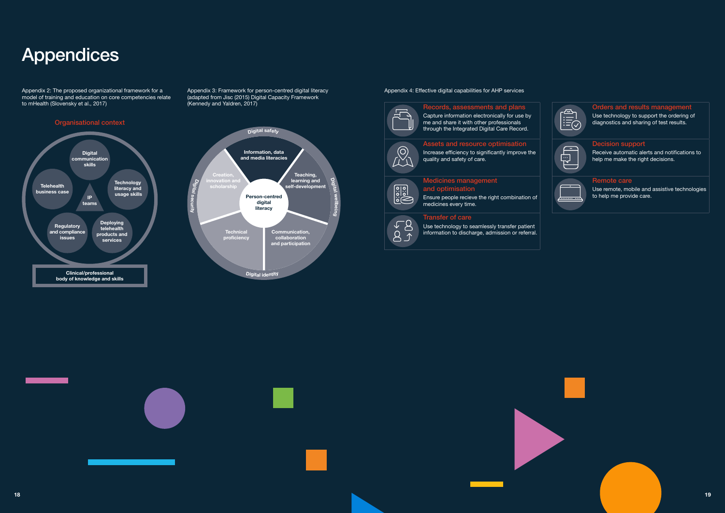## Appendices

Appendix 2: The proposed organizational framework for a model of training and education on core competencies relate to mHealth (Slovensky et al., 2017)



Appendix 3: Framework for person-centred digital literacy (adapted from Jisc (2015) Digital Capacity Framework (Kennedy and Yaldren, 2017)

### Assets and resource optimisation  $\circledcirc$



#### Appendix 4: Effective digital capabilities for AHP services



### Records, assessments and plans

Capture information electronically for use by me and share it with other professionals through the Integrated Digital Care Record.

#### Orders and results management

Use technology to support the ordering of diagnostics and sharing of test results.



#### Increase efficiency to significantly improve the quality and safety of care.

### Decision support

Receive automatic alerts and notifications to help me make the right decisions.



#### Medicines management and optimisation

Ensure people recieve the right combination of medicines every time.



 $\overline{\circ}$ 

#### Remote care

Use remote, mobile and assistive technologies to help me provide care.



#### Transfer of care Use technology to seamlessly transfer patient

information to discharge, admission or referral.